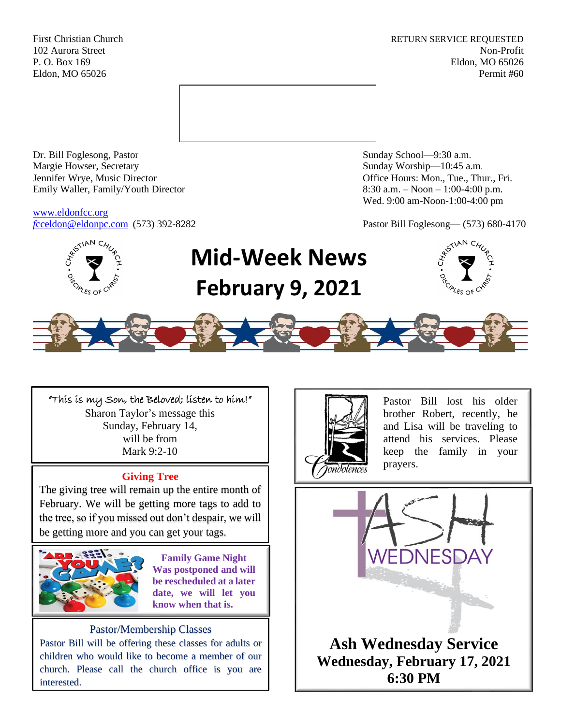First Christian Church **RETURN SERVICE REQUESTED** 102 Aurora Street Non-Profit P. O. Box 169 Eldon, MO 65026 Eldon, MO 65026 Permit #60



Dr. Bill Foglesong, Pastor Sunday School—9:30 a.m. Margie Howser, Secretary Sunday Worship—10:45 a.m. Jennifer Wrye, Music Director Office Hours: Mon., Tue., Thur., Fri. Emily Waller, Family/Youth Director 8:30 a.m. – Noon – 1:00-4:00 p.m.

[www.eldonfcc.org](http://www.eldonfcc.org/)

Wed. 9:00 am-Noon-1:00-4:00 pm

*f*[cceldon@eldonpc.com](mailto:fcceldon@eldonpc.com) (573) 392-8282 Pastor Bill Foglesong— (573) 680-4170



# **Mid-Week News February 9, 2021**





"This is my Son, the Beloved; listen to him!" Sharon Taylor's message this Sunday, February 14, will be from Mark 9:2-10

# **Giving Tree**

The giving tree will remain up the entire month of February. We will be getting more tags to add to the tree, so if you missed out don't despair, we will be getting more and you can get your tags.



**Family Game Night Was postponed and will be rescheduled at a later date, we will let you know when that is.** 

## Pastor/Membership Classes

Pastor Bill will be offering these classes for adults or children who would like to become a member of our church. Please call the church office is you are interested.



Pastor Bill lost his older brother Robert, recently, he and Lisa will be traveling to attend his services. Please keep the family in your prayers.

VEDNESDAY **Ash Wednesday Service Wednesday, February 17, 2021 6:30 PM**